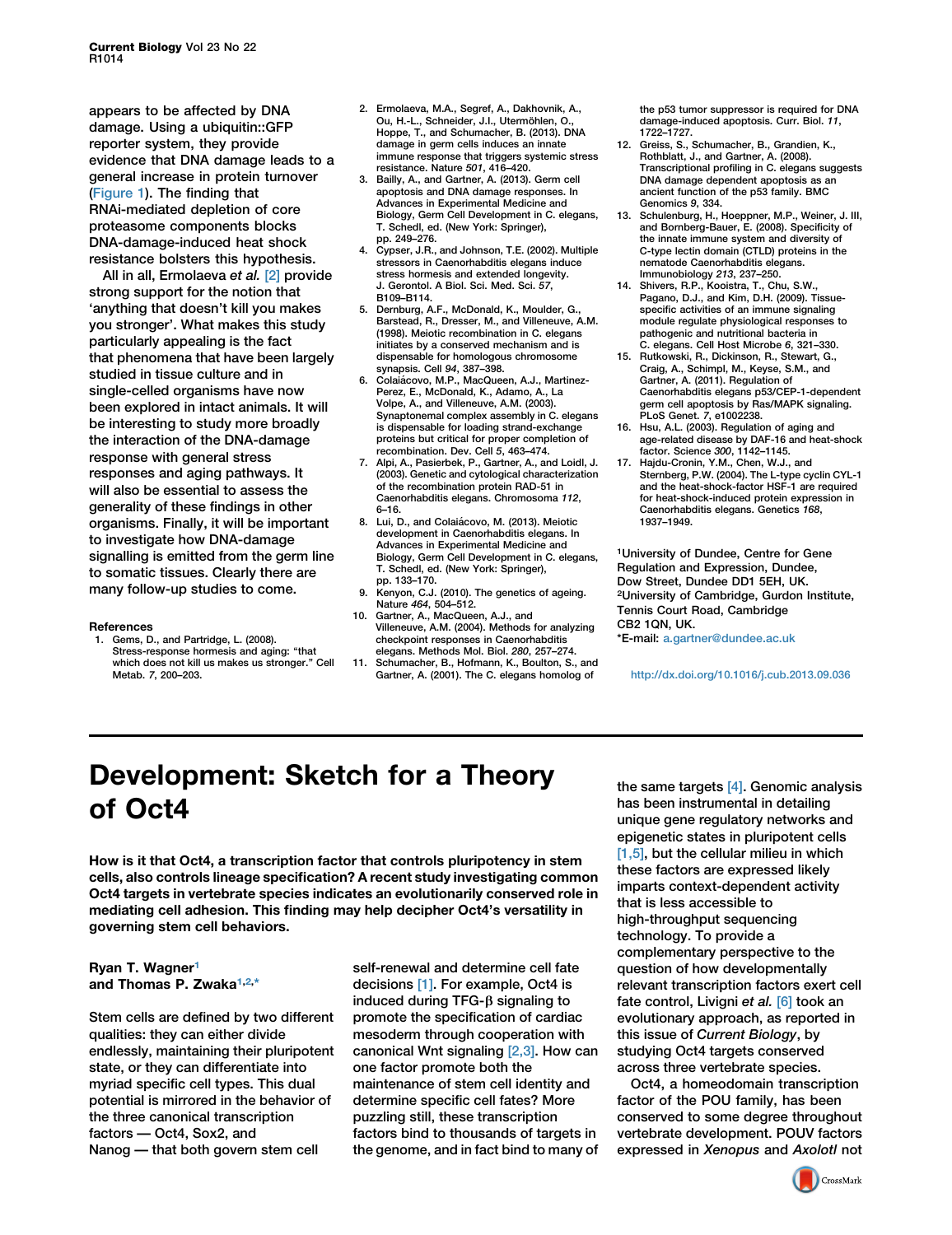appears to be affected by DNA damage. Using a ubiquitin::GFP reporter system, they provide evidence that DNA damage leads to a general increase in protein turnover (Figure 1). The finding that RNAi-mediated depletion of core proteasome components blocks DNA-damage-induced heat shock resistance bolsters this hypothesis.

All in all, Ermolaeva et al. [2] provide strong support for the notion that 'anything that doesn't kill you makes you stronger'. What makes this study particularly appealing is the fact that phenomena that have been largely studied in tissue culture and in single-celled organisms have now been explored in intact animals. It will be interesting to study more broadly the interaction of the DNA-damage response with general stress responses and aging pathways. It will also be essential to assess the generality of these findings in other organisms. Finally, it will be important to investigate how DNA-damage signalling is emitted from the germ line to somatic tissues. Clearly there are many follow-up studies to come.

## References

1. Gems, D., and Partridge, L. (2008). Stress-response hormesis and aging: ''that which does not kill us makes us stronger.'' Cell Metab. 7, 200–203.

- 2. Ermolaeva, M.A., Segref, A., Dakhovnik, A., Ou, H.-L., Schneider, J.I., Utermöhlen, O. Hoppe, T., and Schumacher, B. (2013). DNA damage in germ cells induces an innate immune response that triggers systemic stress resistance. Nature 501, 416–420.
- 3. Bailly, A., and Gartner, A. (2013). Germ cell apoptosis and DNA damage responses. In Advances in Experimental Medicine and Biology, Germ Cell Development in C. elegans, T. Schedl, ed. (New York: Springer), pp. 249–276.
- 4. Cypser, J.R., and Johnson, T.E. (2002). Multiple stressors in Caenorhabditis elegans induce stress hormesis and extended longevity. J. Gerontol. A Biol. Sci. Med. Sci. 57, B109–B114.
- 5. Dernburg, A.F., McDonald, K., Moulder, G., Barstead, R., Dresser, M., and Villeneuve, A.M. (1998). Meiotic recombination in C. elegans initiates by a conserved mechanism and is dispensable for homologous chromosome synapsis. Cell 94, 387–398.
- 6. Colaia´ covo, M.P., MacQueen, A.J., Martinez-Perez, E., McDonald, K., Adamo, A., La Volpe, A., and Villeneuve, A.M. (2003). Synaptonemal complex assembly in C. elegans is dispensable for loading strand-exchange proteins but critical for proper completion of recombination. Dev. Cell 5, 463–474.
- 7. Alpi, A., Pasierbek, P., Gartner, A., and Loidl, J. (2003). Genetic and cytological characterization of the recombination protein RAD-51 in Caenorhabditis elegans. Chromosoma 112, 6–16.
- 8. Lui, D., and Colaiácovo, M. (2013). Meiotic development in Caenorhabditis elegans. In Advances in Experimental Medicine and Biology, Germ Cell Development in C. elegans, T. Schedl, ed. (New York: Springer), pp. 133–170.
- 9. Kenyon, C.J. (2010). The genetics of ageing. Nature 464, 504–512.
- 10. Gartner, A., MacQueen, A.J., and Villeneuve, A.M. (2004). Methods for analyzing checkpoint responses in Caenorhabditis elegans. Methods Mol. Biol. 280, 257–274.
- 11. Schumacher, B., Hofmann, K., Boulton, S., and Gartner, A. (2001). The C. elegans homolog of

the p53 tumor suppressor is required for DNA damage-induced apoptosis. Curr. Biol. 11, 1722–1727.

- 12. Greiss, S., Schumacher, B., Grandien, K., Rothblatt, J., and Gartner, A. (2008). Transcriptional profiling in C. elegans suggests DNA damage dependent apoptosis as an ancient function of the p53 family. BMC Genomics 9, 334.
- 13. Schulenburg, H., Hoeppner, M.P., Weiner, J. III, and Bornberg-Bauer, E. (2008). Specificity of the innate immune system and diversity of C-type lectin domain (CTLD) proteins in the nematode Caenorhabditis elegans. Immunobiology 213, 237–250.
- 14. Shivers, R.P., Kooistra, T., Chu, S.W., Pagano, D.J., and Kim, D.H. (2009). Tissuespecific activities of an immune signaling module regulate physiological responses to pathogenic and nutritional bacteria in C. elegans. Cell Host Microbe 6, 321–330.
- 15. Rutkowski, R., Dickinson, R., Stewart, G., Craig, A., Schimpl, M., Keyse, S.M., and Gartner, A. (2011). Regulation of Caenorhabditis elegans p53/CEP-1-dependent germ cell apoptosis by Ras/MAPK signaling. PLoS Genet. 7, e1002238.
- 16. Hsu, A.L. (2003). Regulation of aging and age-related disease by DAF-16 and heat-shock factor. Science 300, 1142–1145.
- 17. Hajdu-Cronin, Y.M., Chen, W.J., and Sternberg, P.W. (2004). The L-type cyclin CYL-1 and the heat-shock-factor HSF-1 are required for heat-shock-induced protein expression in Caenorhabditis elegans. Genetics 168, 1937–1949.

1University of Dundee, Centre for Gene Regulation and Expression, Dundee, Dow Street, Dundee DD1 5EH, UK. 2University of Cambridge, Gurdon Institute, Tennis Court Road, Cambridge CB2 1QN, UK.

\*E-mail: [a.gartner@dundee.ac.uk](mailto:a.gartner@dundee.ac.uk)

<http://dx.doi.org/10.1016/j.cub.2013.09.036>

## Development: Sketch for a Theory of Oct4

How is it that Oct4, a transcription factor that controls pluripotency in stem cells, also controls lineage specification? A recent study investigating common Oct4 targets in vertebrate species indicates an evolutionarily conserved role in mediating cell adhesion. This finding may help decipher Oct4's versatility in governing stem cell behaviors.

## Ryan T. Wagner<sup>[1](#page-2-0)</sup> and Thomas P. Zwaka<sup>[1,2](#page-2-0),[\\*](#page-2-0)</sup>

Stem cells are defined by two different qualities: they can either divide endlessly, maintaining their pluripotent state, or they can differentiate into myriad specific cell types. This dual potential is mirrored in the behavior of the three canonical transcription factors — Oct4, Sox2, and Nanog — that both govern stem cell

self-renewal and determine cell fate decisions [\[1\].](#page-1-0) For example, Oct4 is induced during TFG- $\beta$  signaling to promote the specification of cardiac mesoderm through cooperation with canonical Wnt signaling [\[2,3\].](#page-1-0) How can one factor promote both the maintenance of stem cell identity and determine specific cell fates? More puzzling still, these transcription factors bind to thousands of targets in the genome, and in fact bind to many of the same targets [\[4\].](#page-2-0) Genomic analysis has been instrumental in detailing unique gene regulatory networks and epigenetic states in pluripotent cells [\[1,5\]](#page-1-0), but the cellular milieu in which these factors are expressed likely imparts context-dependent activity that is less accessible to high-throughput sequencing technology. To provide a complementary perspective to the question of how developmentally relevant transcription factors exert cell fate control, Livigni et al. [\[6\]](#page-2-0) took an evolutionary approach, as reported in this issue of Current Biology, by studying Oct4 targets conserved across three vertebrate species.

Oct4, a homeodomain transcription factor of the POU family, has been conserved to some degree throughout vertebrate development. POUV factors expressed in Xenopus and Axolotl not

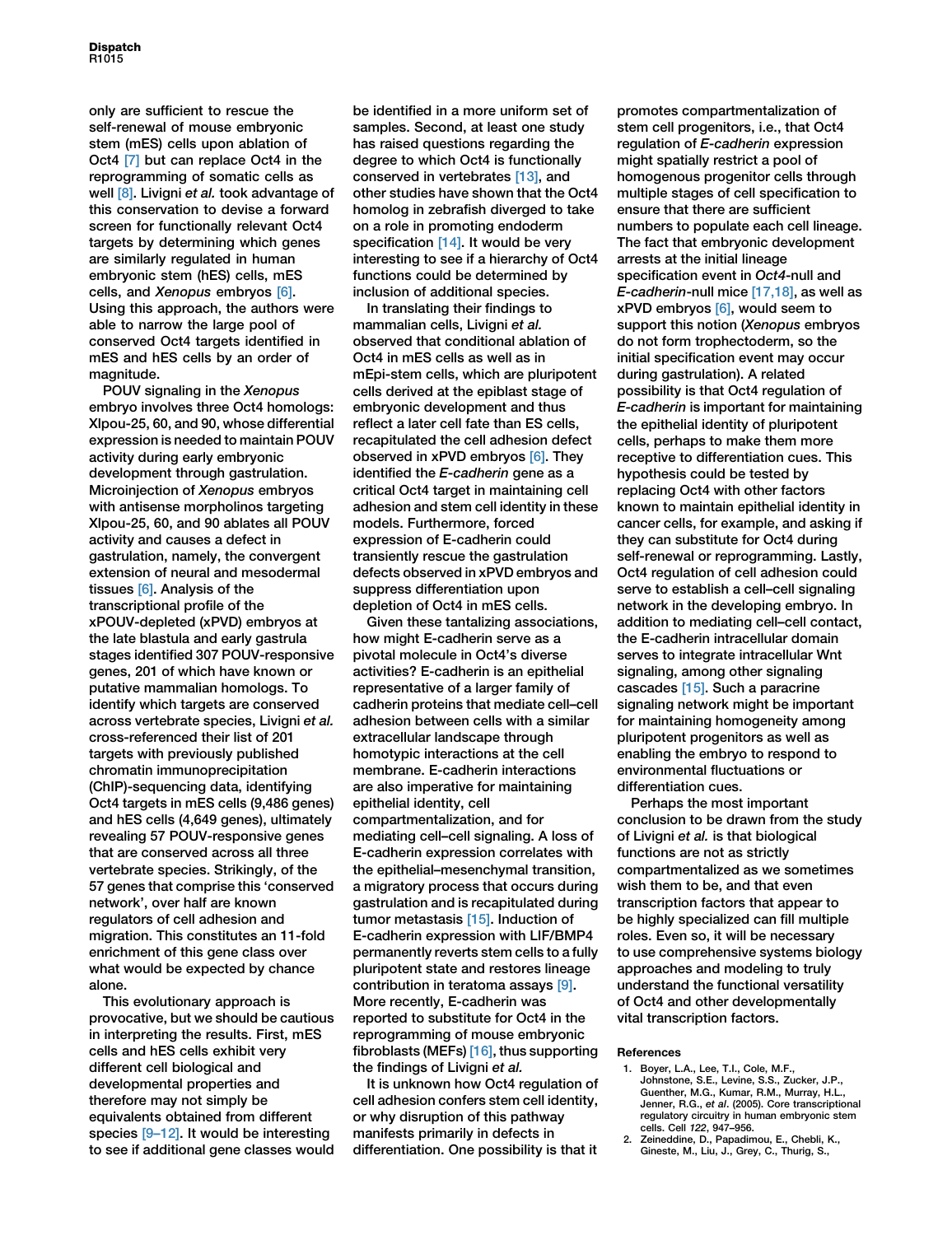<span id="page-1-0"></span>only are sufficient to rescue the self-renewal of mouse embryonic stem (mES) cells upon ablation of Oct4 [\[7\]](#page-2-0) but can replace Oct4 in the reprogramming of somatic cells as well [\[8\]](#page-2-0). Livigni et al. took advantage of this conservation to devise a forward screen for functionally relevant Oct4 targets by determining which genes are similarly regulated in human embryonic stem (hES) cells, mES cells, and Xenopus embryos [\[6\]](#page-2-0). Using this approach, the authors were able to narrow the large pool of conserved Oct4 targets identified in mES and hES cells by an order of magnitude.

POUV signaling in the Xenopus embryo involves three Oct4 homologs: Xlpou-25, 60, and 90, whose differential expression is needed to maintain POUV activity during early embryonic development through gastrulation. Microinjection of Xenopus embryos with antisense morpholinos targeting Xlpou-25, 60, and 90 ablates all POUV activity and causes a defect in gastrulation, namely, the convergent extension of neural and mesodermal tissues [\[6\]](#page-2-0). Analysis of the transcriptional profile of the xPOUV-depleted (xPVD) embryos at the late blastula and early gastrula stages identified 307 POUV-responsive genes, 201 of which have known or putative mammalian homologs. To identify which targets are conserved across vertebrate species, Livigni et al. cross-referenced their list of 201 targets with previously published chromatin immunoprecipitation (ChIP)-sequencing data, identifying Oct4 targets in mES cells (9,486 genes) and hES cells (4,649 genes), ultimately revealing 57 POUV-responsive genes that are conserved across all three vertebrate species. Strikingly, of the 57 genes that comprise this 'conserved network', over half are known regulators of cell adhesion and migration. This constitutes an 11-fold enrichment of this gene class over what would be expected by chance alone.

This evolutionary approach is provocative, but we should be cautious in interpreting the results. First, mES cells and hES cells exhibit very different cell biological and developmental properties and therefore may not simply be equivalents obtained from different species [9-12]. It would be interesting to see if additional gene classes would be identified in a more uniform set of samples. Second, at least one study has raised questions regarding the degree to which Oct4 is functionally conserved in vertebrates [\[13\]](#page-2-0), and other studies have shown that the Oct4 homolog in zebrafish diverged to take on a role in promoting endoderm specification [\[14\]](#page-2-0). It would be very interesting to see if a hierarchy of Oct4 functions could be determined by inclusion of additional species.

In translating their findings to mammalian cells, Livigni et al. observed that conditional ablation of Oct4 in mES cells as well as in mEpi-stem cells, which are pluripotent cells derived at the epiblast stage of embryonic development and thus reflect a later cell fate than ES cells, recapitulated the cell adhesion defect observed in xPVD embryos [\[6\]](#page-2-0). They identified the E-cadherin gene as a critical Oct4 target in maintaining cell adhesion and stem cell identity in these models. Furthermore, forced expression of E-cadherin could transiently rescue the gastrulation defects observed in xPVD embryos and suppress differentiation upon depletion of Oct4 in mES cells.

Given these tantalizing associations, how might E-cadherin serve as a pivotal molecule in Oct4's diverse activities? E-cadherin is an epithelial representative of a larger family of cadherin proteins that mediate cell–cell adhesion between cells with a similar extracellular landscape through homotypic interactions at the cell membrane. E-cadherin interactions are also imperative for maintaining epithelial identity, cell compartmentalization, and for mediating cell–cell signaling. A loss of E-cadherin expression correlates with the epithelial–mesenchymal transition, a migratory process that occurs during gastrulation and is recapitulated during tumor metastasis [\[15\].](#page-2-0) Induction of E-cadherin expression with LIF/BMP4 permanently reverts stem cells to a fully pluripotent state and restores lineage contribution in teratoma assays [\[9\]](#page-2-0). More recently, E-cadherin was reported to substitute for Oct4 in the reprogramming of mouse embryonic fibroblasts (MEFs) [\[16\]](#page-2-0), thus supporting the findings of Livigni et al.

It is unknown how Oct4 regulation of cell adhesion confers stem cell identity, or why disruption of this pathway manifests primarily in defects in differentiation. One possibility is that it promotes compartmentalization of stem cell progenitors, i.e., that Oct4 regulation of E-cadherin expression might spatially restrict a pool of homogenous progenitor cells through multiple stages of cell specification to ensure that there are sufficient numbers to populate each cell lineage. The fact that embryonic development arrests at the initial lineage specification event in Oct4-null and E-cadherin-null mice [\[17,18\]](#page-2-0), as well as  $x$ PVD embryos  $[6]$ , would seem to support this notion (Xenopus embryos do not form trophectoderm, so the initial specification event may occur during gastrulation). A related possibility is that Oct4 regulation of E-cadherin is important for maintaining the epithelial identity of pluripotent cells, perhaps to make them more receptive to differentiation cues. This hypothesis could be tested by replacing Oct4 with other factors known to maintain epithelial identity in cancer cells, for example, and asking if they can substitute for Oct4 during self-renewal or reprogramming. Lastly, Oct4 regulation of cell adhesion could serve to establish a cell-cell signaling network in the developing embryo. In addition to mediating cell–cell contact, the E-cadherin intracellular domain serves to integrate intracellular Wnt signaling, among other signaling cascades [\[15\].](#page-2-0) Such a paracrine signaling network might be important for maintaining homogeneity among pluripotent progenitors as well as enabling the embryo to respond to environmental fluctuations or differentiation cues.

Perhaps the most important conclusion to be drawn from the study of Livigni et al. is that biological functions are not as strictly compartmentalized as we sometimes wish them to be, and that even transcription factors that appear to be highly specialized can fill multiple roles. Even so, it will be necessary to use comprehensive systems biology approaches and modeling to truly understand the functional versatility of Oct4 and other developmentally vital transcription factors.

## References

- 1. Boyer, L.A., Lee, T.I., Cole, M.F., Johnstone, S.E., Levine, S.S., Zucker, J.P., Guenther, M.G., Kumar, R.M., Murray, H.L., Jenner, R.G., et al. (2005). Core transcriptional regulatory circuitry in human embryonic stem cells. Cell 122, 947–956.
- 2. Zeineddine, D., Papadimou, E., Chebli, K., Gineste, M., Liu, J., Grey, C., Thurig, S.,